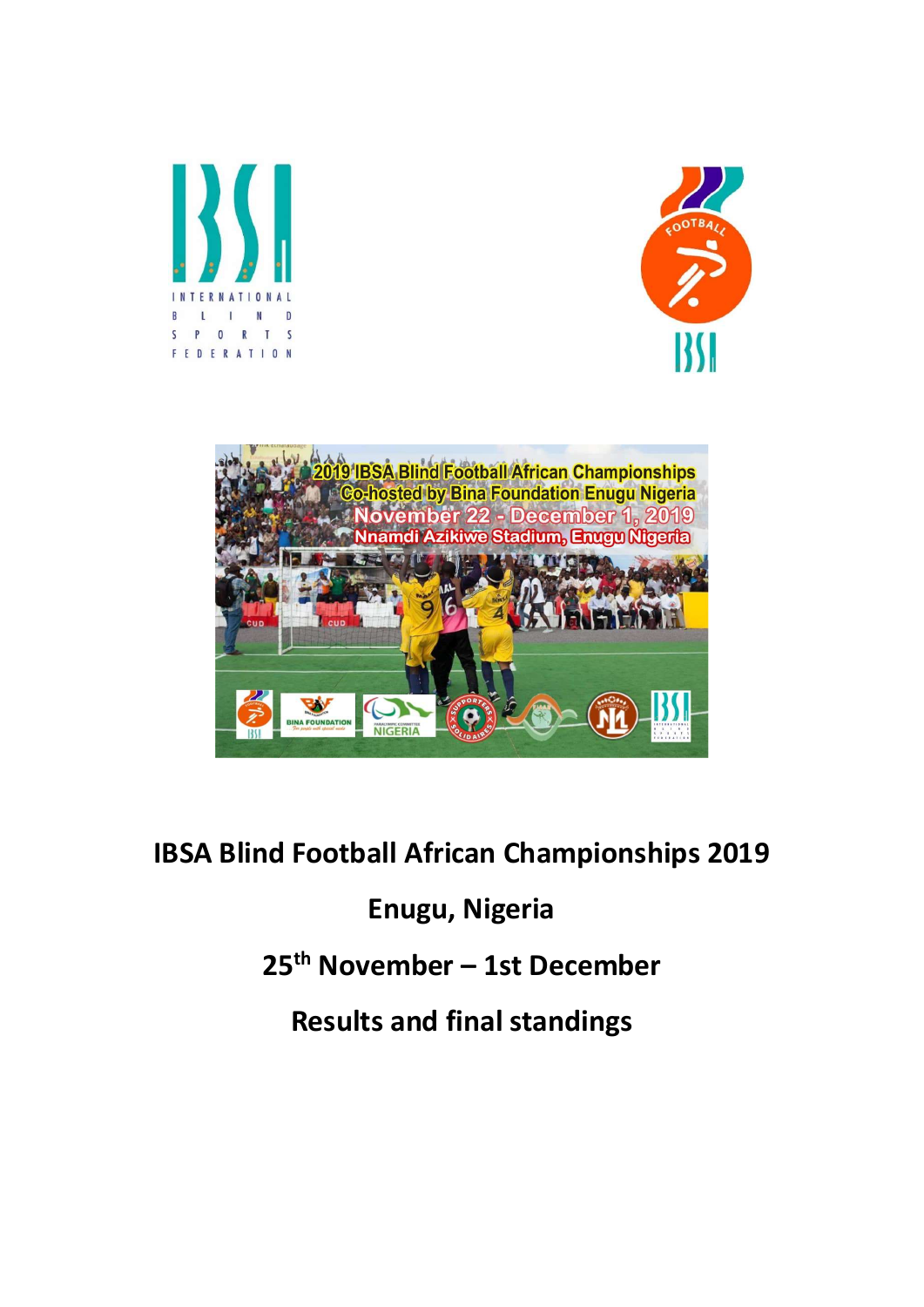





# IBSA Blind Football African Championships 2019

## Enugu, Nigeria

25th November – 1st December

Results and final standings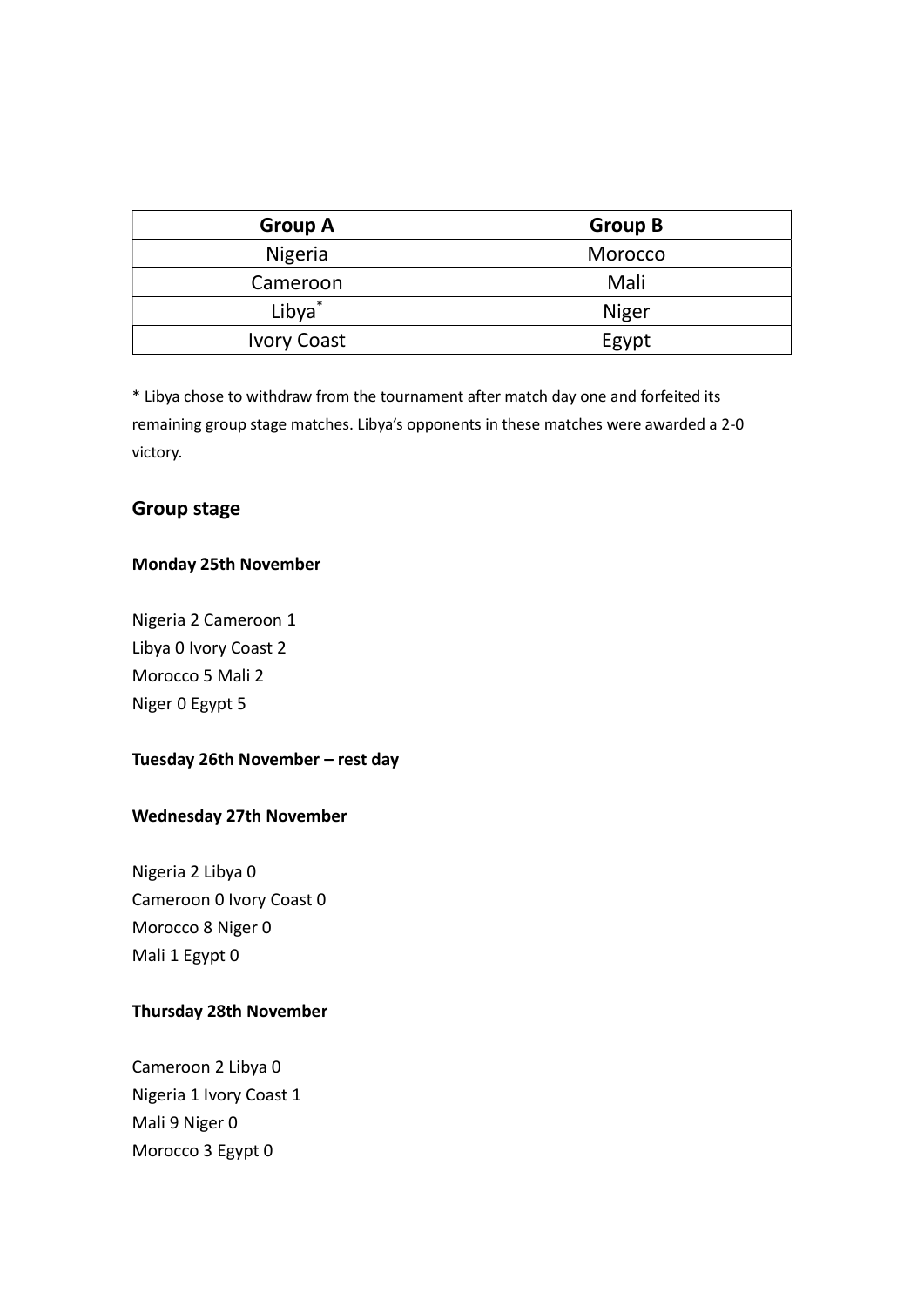| <b>Group A</b>     | <b>Group B</b> |  |  |  |
|--------------------|----------------|--|--|--|
| <b>Nigeria</b>     | Morocco        |  |  |  |
| Cameroon           | Mali           |  |  |  |
| Libya <sup>*</sup> | Niger          |  |  |  |
| <b>Ivory Coast</b> | Egypt          |  |  |  |

\* Libya chose to withdraw from the tournament after match day one and forfeited its remaining group stage matches. Libya's opponents in these matches were awarded a 2-0 victory.

## Group stage

#### Monday 25th November

Nigeria 2 Cameroon 1 Libya 0 Ivory Coast 2 Morocco 5 Mali 2 Niger 0 Egypt 5

#### Tuesday 26th November – rest day

#### Wednesday 27th November

Nigeria 2 Libya 0 Cameroon 0 Ivory Coast 0 Morocco 8 Niger 0 Mali 1 Egypt 0

## Thursday 28th November

Cameroon 2 Libya 0 Nigeria 1 Ivory Coast 1 Mali 9 Niger 0 Morocco 3 Egypt 0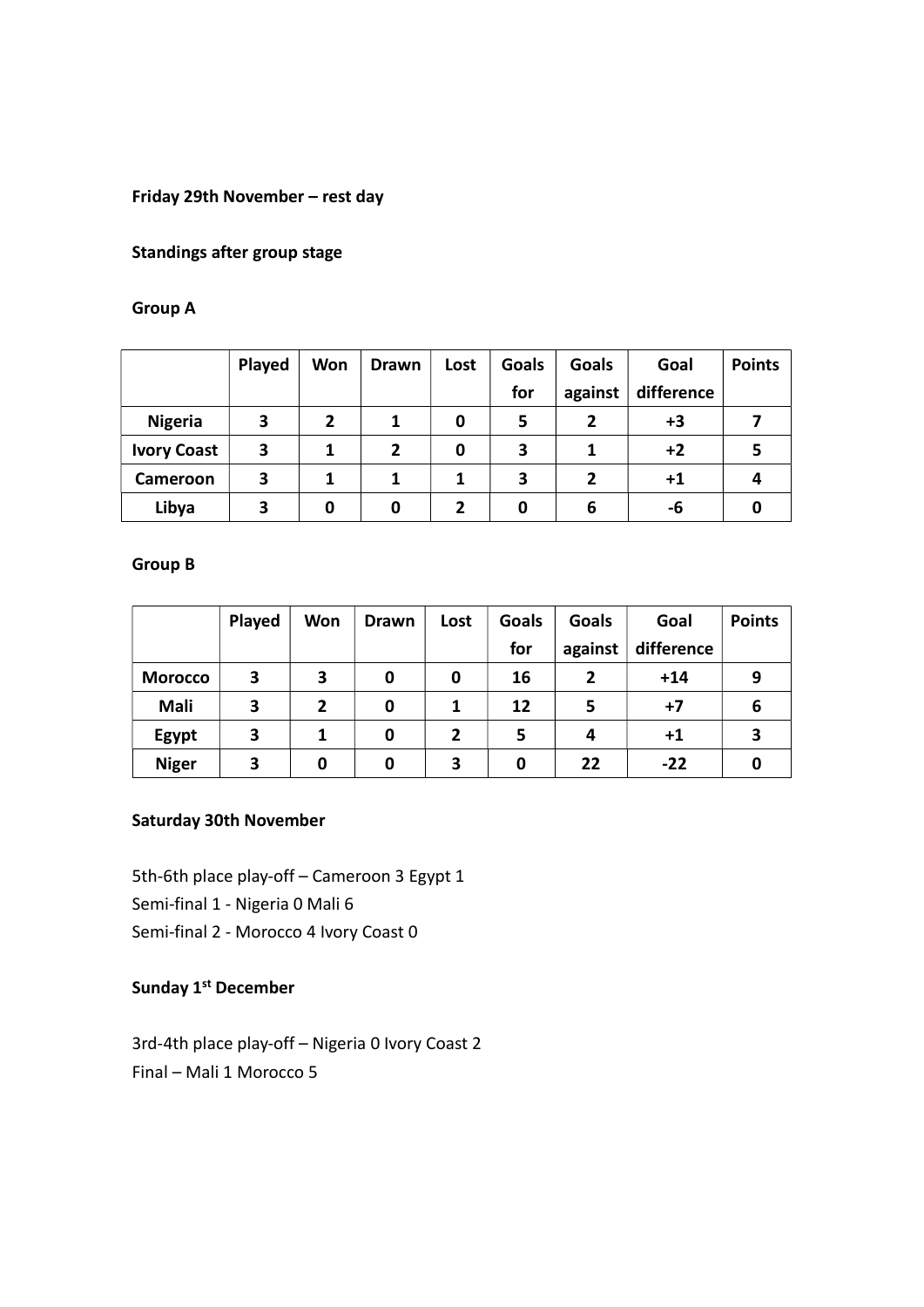#### Friday 29th November – rest day

#### Standings after group stage

#### Group A

|                    | Played | <b>Won</b> | <b>Drawn</b> | Lost | Goals | Goals   | Goal       | <b>Points</b> |
|--------------------|--------|------------|--------------|------|-------|---------|------------|---------------|
|                    |        |            |              |      | for   | against | difference |               |
| <b>Nigeria</b>     | 3      | 2          |              | 0    | 5     | 2       | $+3$       |               |
| <b>Ivory Coast</b> | 3      |            | $\mathbf{2}$ | 0    | 3     |         | $+2$       | 5             |
| Cameroon           | 3      |            |              |      | 3     | 2       | $+1$       | 4             |
| Libya              | 3      | 0          |              | 2    | 0     | 6       | -6         | 0             |

#### Group B

|                | Played | <b>Won</b>     | <b>Drawn</b> | Lost           | <b>Goals</b> | Goals          | Goal       | <b>Points</b> |
|----------------|--------|----------------|--------------|----------------|--------------|----------------|------------|---------------|
|                |        |                |              |                | for          | against        | difference |               |
| <b>Morocco</b> | 3      | 3              | 0            | 0              | 16           | $\overline{2}$ | $+14$      | 9             |
| Mali           | 3      | $\overline{2}$ | 0            |                | 12           | 5              | $+7$       | 6             |
| Egypt          | 3      | 1              | 0            | $\overline{2}$ | 5            | 4              | $+1$       | 3             |
| <b>Niger</b>   | З      | 0              | 0            | 3              | 0            | 22             | $-22$      | 0             |

## Saturday 30th November

5th-6th place play-off – Cameroon 3 Egypt 1 Semi-final 1 - Nigeria 0 Mali 6 Semi-final 2 - Morocco 4 Ivory Coast 0

## Sunday 1<sup>st</sup> December

3rd-4th place play-off – Nigeria 0 Ivory Coast 2 Final – Mali 1 Morocco 5